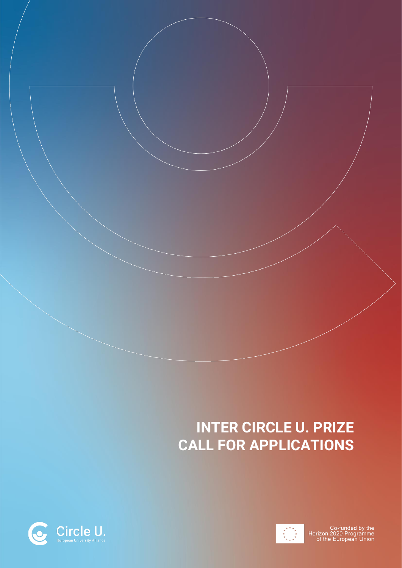# **INTER CIRCLE U. PRIZE CALL FOR APPLICATIONS**



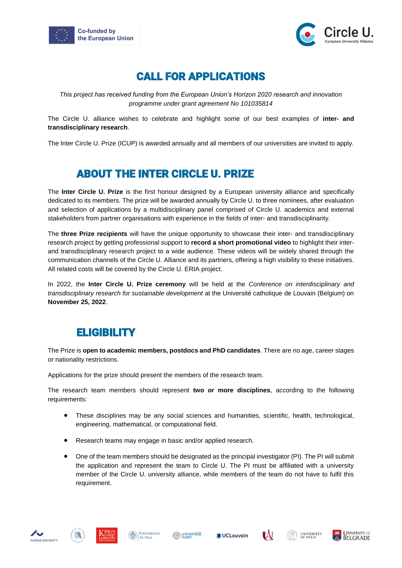



# CALL FOR APPLICATIONS

*This project has received funding from the European Union's Horizon 2020 research and innovation programme under grant agreement No 101035814*

The Circle U. alliance wishes to celebrate and highlight some of our best examples of **inter- and transdisciplinary research**.

The Inter Circle U. Prize (ICUP) is awarded annually and all members of our universities are invited to apply.

# ABOUT THE INTER CIRCLE U. PRIZE

The **Inter Circle U. Prize** is the first honour designed by a European university alliance and specifically dedicated to its members. The prize will be awarded annually by Circle U. to three nominees, after evaluation and selection of applications by a multidisciplinary panel comprised of Circle U. academics and external stakeholders from partner organisations with experience in the fields of inter- and transdisciplinarity.

The **three Prize recipients** will have the unique opportunity to showcase their inter- and transdisciplinary research project by getting professional support to **record a short promotional video** to highlight their interand transdisciplinary research project to a wide audience. These videos will be widely shared through the communication channels of the Circle U. Alliance and its partners, offering a high visibility to these initiatives. All related costs will be covered by the Circle U. ERIA project.

In 2022, the **Inter Circle U. Prize ceremony** will be held at the *Conference on interdisciplinary and transdisciplinary research for sustainable development* at the Université catholique de Louvain (Belgium) on **November 25, 2022**.

# ELIGIBILITY

The Prize is **open to academic members, postdocs and PhD candidates**. There are no age, career stages or nationality restrictions.

Applications for the prize should present the members of the research team.

The research team members should represent **two or more disciplines**, according to the following requirements:

- These disciplines may be any social sciences and humanities, scientific, health, technological, engineering, mathematical, or computational field.
- Research teams may engage in basic and/or applied research.
- One of the team members should be designated as the principal investigator (PI). The PI will submit the application and represent the team to Circle U. The PI must be affiliated with a university member of the Circle U. university alliance, while members of the team do not have to fulfil this requirement.











**IAJ** 

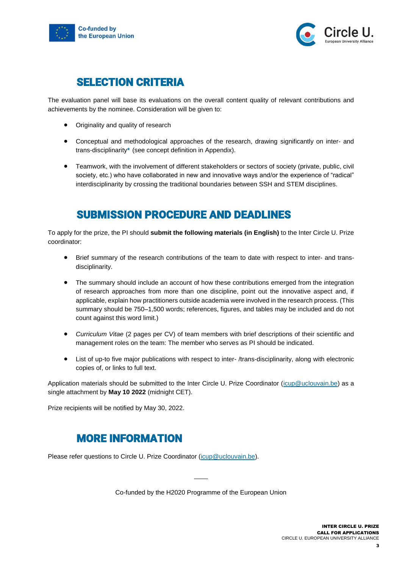



#### SELECTION CRITERIA

The evaluation panel will base its evaluations on the overall content quality of relevant contributions and achievements by the nominee. Consideration will be given to:

- Originality and quality of research
- Conceptual and methodological approaches of the research, drawing significantly on inter- and trans-disciplinarity**\*** (see concept definition in Appendix).
- Teamwork, with the involvement of different stakeholders or sectors of society (private, public, civil society, etc.) who have collaborated in new and innovative ways and/or the experience of "radical" interdisciplinarity by crossing the traditional boundaries between SSH and STEM disciplines.

## SUBMISSION PROCEDURE AND DEADLINES

To apply for the prize, the PI should **submit the following materials (in English)** to the Inter Circle U. Prize coordinator:

- Brief summary of the research contributions of the team to date with respect to inter- and transdisciplinarity.
- The summary should include an account of how these contributions emerged from the integration of research approaches from more than one discipline, point out the innovative aspect and, if applicable, explain how practitioners outside academia were involved in the research process. (This summary should be 750–1,500 words; references, figures, and tables may be included and do not count against this word limit.)
- *Curriculum Vitae* (2 pages per CV) of team members with brief descriptions of their scientific and management roles on the team: The member who serves as PI should be indicated.
- List of up-to five major publications with respect to inter- /trans-disciplinarity, along with electronic copies of, or links to full text.

Application materials should be submitted to the Inter Circle U. Prize Coordinator [\(icup@uclouvain.be\)](mailto:icup@uclouvain.be) as a single attachment by **May 10 2022** (midnight CET).

Prize recipients will be notified by May 30, 2022.

## MORE INFORMATION

Please refer questions to Circle U. Prize Coordinator [\(icup@uclouvain.be\)](mailto:icup@uclouvain.be).

Co-funded by the H2020 Programme of the European Union